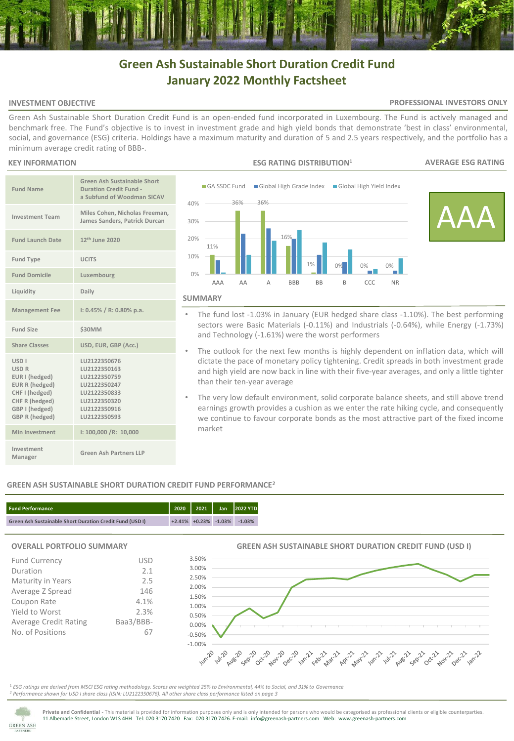## **Green Ash Sustainable Short Duration Credit Fund January 2022 Monthly Factsheet**

### **INVESTMENT OBJECTIVE**

### **PROFESSIONAL INVESTORS ONLY**

Green Ash Sustainable Short Duration Credit Fund is an open-ended fund incorporated in Luxembourg. The Fund is actively managed and benchmark free. The Fund's objective is to invest in investment grade and high yield bonds that demonstrate 'best in class' environmental, social, and governance (ESG) criteria. Holdings have a maximum maturity and duration of 5 and 2.5 years respectively, and the portfolio has a minimum average credit rating of BBB-.

### **KEY INFORMATION**

| <b>Fund Name</b>                                                                                                                                           | <b>Green Ash Sustainable Short</b><br><b>Duration Credit Fund -</b><br>a Subfund of Woodman SICAV                            |
|------------------------------------------------------------------------------------------------------------------------------------------------------------|------------------------------------------------------------------------------------------------------------------------------|
| <b>Investment Team</b>                                                                                                                                     | Miles Cohen, Nicholas Freeman,<br>James Sanders, Patrick Durcan                                                              |
| <b>Fund Launch Date</b>                                                                                                                                    | 12 <sup>th</sup> June 2020                                                                                                   |
| <b>Fund Type</b>                                                                                                                                           | <b>UCITS</b>                                                                                                                 |
| <b>Fund Domicile</b>                                                                                                                                       | Luxembourg                                                                                                                   |
| Liquidity                                                                                                                                                  | Daily                                                                                                                        |
| <b>Management Fee</b>                                                                                                                                      | $1: 0.45\% / R: 0.80\%$ p.a.                                                                                                 |
| <b>Fund Size</b>                                                                                                                                           | <b>\$30MM</b>                                                                                                                |
| <b>Share Classes</b>                                                                                                                                       | USD, EUR, GBP (Acc.)                                                                                                         |
| USD <sub>I</sub><br><b>USD R</b><br>EUR I (hedged)<br><b>EUR R (hedged)</b><br>CHF I (hedged)<br>CHF R (hedged)<br>GBP I (hedged)<br><b>GBP R (hedged)</b> | LU2122350676<br>LU2122350163<br>LU2122350759<br>LU2122350247<br>LU2122350833<br>LU2122350320<br>LU2122350916<br>LU2122350593 |
| Min Investment                                                                                                                                             | I: 100,000 /R: 10,000                                                                                                        |
| Investment<br>Manager                                                                                                                                      | Green Ash Partners LLP                                                                                                       |



- The fund lost -1.03% in January (EUR hedged share class -1.10%). The best performing sectors were Basic Materials (-0.11%) and Industrials (-0.64%), while Energy (-1.73%) and Technology (-1.61%) were the worst performers
- The outlook for the next few months is highly dependent on inflation data, which will dictate the pace of monetary policy tightening. Credit spreads in both investment grade and high yield are now back in line with their five-year averages, and only a little tighter than their ten-year average
- The very low default environment, solid corporate balance sheets, and still above trend earnings growth provides a cushion as we enter the rate hiking cycle, and consequently we continue to favour corporate bonds as the most attractive part of the fixed income market

### **GREEN ASH SUSTAINABLE SHORT DURATION CREDIT FUND PERFORMANCE<sup>2</sup>**



### **OVERALL PORTFOLIO SUMMARY**

| <b>Fund Currency</b>         | <b>USD</b> |  |  |  |  |
|------------------------------|------------|--|--|--|--|
| Duration                     | 2.1        |  |  |  |  |
| Maturity in Years            | 2.5        |  |  |  |  |
| Average Z Spread             | 146        |  |  |  |  |
| Coupon Rate                  | 4.1%       |  |  |  |  |
| Yield to Worst               | 2.3%       |  |  |  |  |
| <b>Average Credit Rating</b> | Baa3/BBB-  |  |  |  |  |
| No. of Positions             |            |  |  |  |  |
|                              |            |  |  |  |  |

# **GREEN ASH SUSTAINABLE SHORT DURATION CREDIT FUND (USD I)**



<sup>1</sup> *ESG ratings are derived from MSCI ESG rating methodology. Scores are weighted 25% to Environmental, 44% to Social, and 31% to Governance <sup>2</sup> Performance shown for USD I share class (ISIN: LU2122350676). All other share class performance listed on page 3* 

3.50%



**Private and Confidential -** This material is provided for information purposes only and is only intended for persons who would be categorised as professional clients or eligible counterparties. 11 Albemarle Street, London W1S 4HH Tel: 020 3170 7420 Fax: 020 3170 7426. E-mail: info@greenash-partners.com Web: www.greenash-partners.com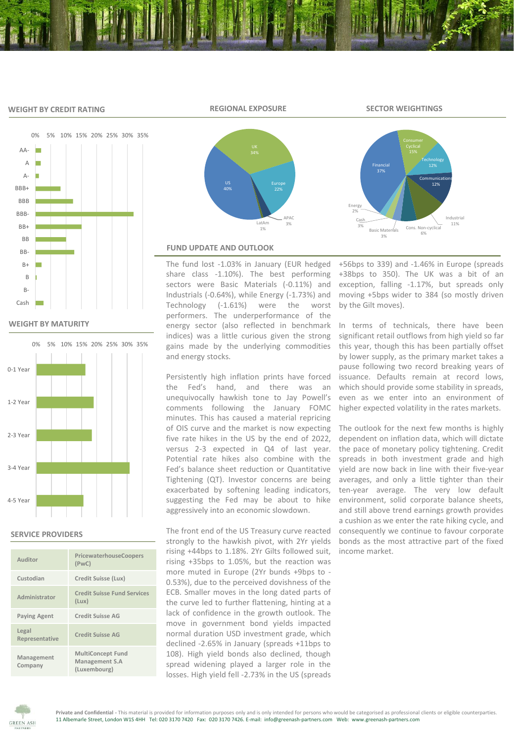### **WEIGHT BY CREDIT RATING**



Financial

**Basic Mate** 3%

Cash 3%

Energy 2%



**WEIGHT BY MATURITY**



### **SERVICE PROVIDERS**

| Auditor                 | PricewaterhouseCoopers<br>(PWC)                            |
|-------------------------|------------------------------------------------------------|
| Custodian               | Credit Suisse (Lux)                                        |
| Administrator           | <b>Credit Suisse Fund Services</b><br>(Lux)                |
| <b>Paying Agent</b>     | <b>Credit Suisse AG</b>                                    |
| Legal<br>Representative | <b>Credit Suisse AG</b>                                    |
| Management<br>Company   | <b>MultiConcept Fund</b><br>Management S.A<br>(Luxembourg) |



### **FUND UPDATE AND OUTLOOK**

The fund lost -1.03% in January (EUR hedged share class -1.10%). The best performing sectors were Basic Materials (-0.11%) and Industrials (-0.64%), while Energy (-1.73%) and Technology (-1.61%) were the worst performers. The underperformance of the energy sector (also reflected in benchmark indices) was a little curious given the strong gains made by the underlying commodities and energy stocks.

Persistently high inflation prints have forced the Fed's hand, and there was an unequivocally hawkish tone to Jay Powell's comments following the January FOMC minutes. This has caused a material repricing of OIS curve and the market is now expecting five rate hikes in the US by the end of 2022, versus 2-3 expected in Q4 of last year. Potential rate hikes also combine with the Fed's balance sheet reduction or Quantitative Tightening (QT). Investor concerns are being exacerbated by softening leading indicators, suggesting the Fed may be about to hike aggressively into an economic slowdown.

The front end of the US Treasury curve reacted strongly to the hawkish pivot, with 2Yr yields rising +44bps to 1.18%. 2Yr Gilts followed suit, rising +35bps to 1.05%, but the reaction was more muted in Europe (2Yr bunds +9bps to - 0.53%), due to the perceived dovishness of the ECB. Smaller moves in the long dated parts of the curve led to further flattening, hinting at a lack of confidence in the growth outlook. The move in government bond yields impacted normal duration USD investment grade, which declined -2.65% in January (spreads +11bps to 108). High yield bonds also declined, though spread widening played a larger role in the losses. High yield fell -2.73% in the US (spreads

+56bps to 339) and -1.46% in Europe (spreads +38bps to 350). The UK was a bit of an exception, falling -1.17%, but spreads only moving +5bps wider to 384 (so mostly driven by the Gilt moves).

Cons. Non-cyclica

Technology

**Communications** 12%

> Industrial 11%

In terms of technicals, there have been significant retail outflows from high yield so far this year, though this has been partially offset by lower supply, as the primary market takes a pause following two record breaking years of issuance. Defaults remain at record lows, which should provide some stability in spreads, even as we enter into an environment of higher expected volatility in the rates markets.

The outlook for the next few months is highly dependent on inflation data, which will dictate the pace of monetary policy tightening. Credit spreads in both investment grade and high yield are now back in line with their five-year averages, and only a little tighter than their ten-year average. The very low default environment, solid corporate balance sheets, and still above trend earnings growth provides a cushion as we enter the rate hiking cycle, and consequently we continue to favour corporate bonds as the most attractive part of the fixed income market.